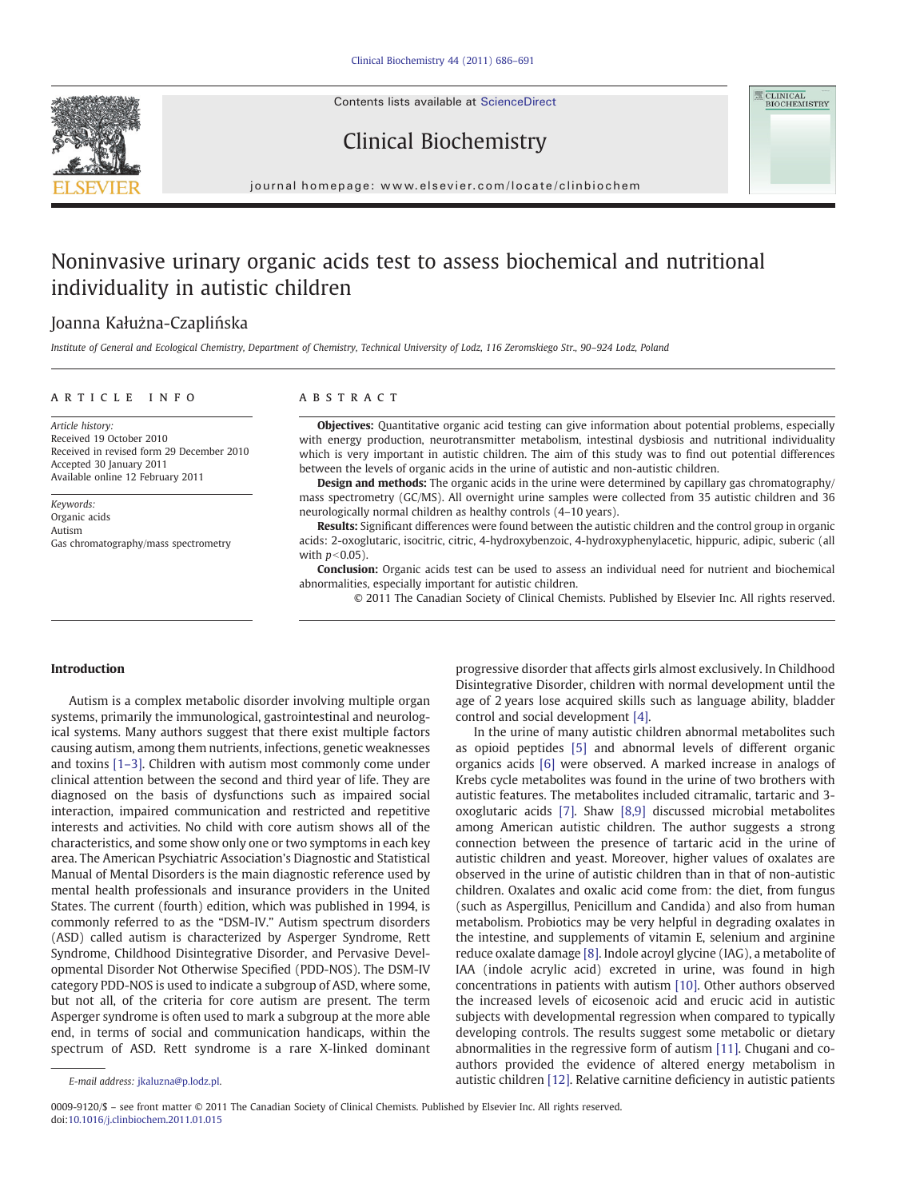Contents lists available at ScienceDirect





Clinical Biochemistry

journal homepage: www.elsevier.com/locate/clinbiochem

# Noninvasive urinary organic acids test to assess biochemical and nutritional individuality in autistic children

# Joanna Kałużna-Czaplińska

Institute of General and Ecological Chemistry, Department of Chemistry, Technical University of Lodz, 116 Zeromskiego Str., 90–924 Lodz, Poland

## article info abstract

Article history: Received 19 October 2010 Received in revised form 29 December 2010 Accepted 30 January 2011 Available online 12 February 2011

Keywords: Organic acids Autism Gas chromatography/mass spectrometry

Objectives: Quantitative organic acid testing can give information about potential problems, especially with energy production, neurotransmitter metabolism, intestinal dysbiosis and nutritional individuality which is very important in autistic children. The aim of this study was to find out potential differences between the levels of organic acids in the urine of autistic and non-autistic children.

Design and methods: The organic acids in the urine were determined by capillary gas chromatography/ mass spectrometry (GC/MS). All overnight urine samples were collected from 35 autistic children and 36 neurologically normal children as healthy controls (4–10 years).

Results: Significant differences were found between the autistic children and the control group in organic acids: 2-oxoglutaric, isocitric, citric, 4-hydroxybenzoic, 4-hydroxyphenylacetic, hippuric, adipic, suberic (all with  $p<0.05$ ).

Conclusion: Organic acids test can be used to assess an individual need for nutrient and biochemical abnormalities, especially important for autistic children.

© 2011 The Canadian Society of Clinical Chemists. Published by Elsevier Inc. All rights reserved.

### Introduction

Autism is a complex metabolic disorder involving multiple organ systems, primarily the immunological, gastrointestinal and neurological systems. Many authors suggest that there exist multiple factors causing autism, among them nutrients, infections, genetic weaknesses and toxins [\[1](#page-4-0)–3]. Children with autism most commonly come under clinical attention between the second and third year of life. They are diagnosed on the basis of dysfunctions such as impaired social interaction, impaired communication and restricted and repetitive interests and activities. No child with core autism shows all of the characteristics, and some show only one or two symptoms in each key area. The American Psychiatric Association's Diagnostic and Statistical Manual of Mental Disorders is the main diagnostic reference used by mental health professionals and insurance providers in the United States. The current (fourth) edition, which was published in 1994, is commonly referred to as the "DSM-IV." Autism spectrum disorders (ASD) called autism is characterized by Asperger Syndrome, Rett Syndrome, Childhood Disintegrative Disorder, and Pervasive Developmental Disorder Not Otherwise Specified (PDD-NOS). The DSM-IV category PDD-NOS is used to indicate a subgroup of ASD, where some, but not all, of the criteria for core autism are present. The term Asperger syndrome is often used to mark a subgroup at the more able end, in terms of social and communication handicaps, within the spectrum of ASD. Rett syndrome is a rare X-linked dominant

progressive disorder that affects girls almost exclusively. In Childhood Disintegrative Disorder, children with normal development until the age of 2 years lose acquired skills such as language ability, bladder control and social development [\[4\]](#page-4-0).

In the urine of many autistic children abnormal metabolites such as opioid peptides [\[5\]](#page-4-0) and abnormal levels of different organic organics acids [\[6\]](#page-4-0) were observed. A marked increase in analogs of Krebs cycle metabolites was found in the urine of two brothers with autistic features. The metabolites included citramalic, tartaric and 3 oxoglutaric acids [\[7\]](#page-4-0). Shaw [\[8,9\]](#page-4-0) discussed microbial metabolites among American autistic children. The author suggests a strong connection between the presence of tartaric acid in the urine of autistic children and yeast. Moreover, higher values of oxalates are observed in the urine of autistic children than in that of non-autistic children. Oxalates and oxalic acid come from: the diet, from fungus (such as Aspergillus, Penicillum and Candida) and also from human metabolism. Probiotics may be very helpful in degrading oxalates in the intestine, and supplements of vitamin E, selenium and arginine reduce oxalate damage [\[8\]](#page-4-0). Indole acroyl glycine (IAG), a metabolite of IAA (indole acrylic acid) excreted in urine, was found in high concentrations in patients with autism [\[10\].](#page-4-0) Other authors observed the increased levels of eicosenoic acid and erucic acid in autistic subjects with developmental regression when compared to typically developing controls. The results suggest some metabolic or dietary abnormalities in the regressive form of autism [\[11\].](#page-4-0) Chugani and coauthors provided the evidence of altered energy metabolism in autistic children [\[12\]](#page-4-0). Relative carnitine deficiency in autistic patients

E-mail address: [jkaluzna@p.lodz.pl](mailto:jkaluzna@p.lodz.pl).

<sup>0009-9120/\$</sup> – see front matter © 2011 The Canadian Society of Clinical Chemists. Published by Elsevier Inc. All rights reserved. doi[:10.1016/j.clinbiochem.2011.01.015](http://dx.doi.org/10.1016/j.clinbiochem.2011.01.015)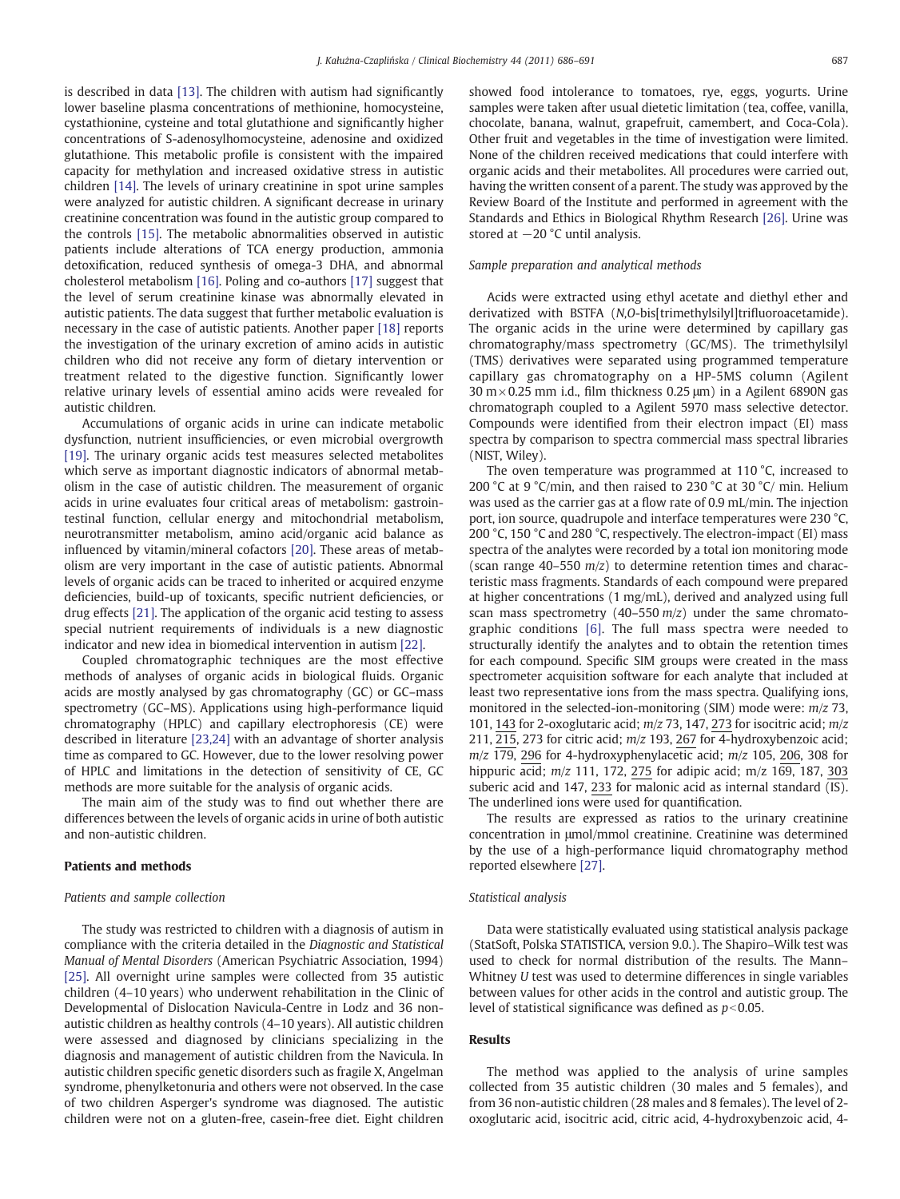is described in data [\[13\]](#page-4-0). The children with autism had significantly lower baseline plasma concentrations of methionine, homocysteine, cystathionine, cysteine and total glutathione and significantly higher concentrations of S-adenosylhomocysteine, adenosine and oxidized glutathione. This metabolic profile is consistent with the impaired capacity for methylation and increased oxidative stress in autistic children [\[14\]](#page-4-0). The levels of urinary creatinine in spot urine samples were analyzed for autistic children. A significant decrease in urinary creatinine concentration was found in the autistic group compared to the controls [\[15\]](#page-4-0). The metabolic abnormalities observed in autistic patients include alterations of TCA energy production, ammonia detoxification, reduced synthesis of omega-3 DHA, and abnormal cholesterol metabolism [\[16\].](#page-4-0) Poling and co-authors [\[17\]](#page-4-0) suggest that the level of serum creatinine kinase was abnormally elevated in autistic patients. The data suggest that further metabolic evaluation is necessary in the case of autistic patients. Another paper [\[18\]](#page-4-0) reports the investigation of the urinary excretion of amino acids in autistic children who did not receive any form of dietary intervention or treatment related to the digestive function. Significantly lower relative urinary levels of essential amino acids were revealed for autistic children.

Accumulations of organic acids in urine can indicate metabolic dysfunction, nutrient insufficiencies, or even microbial overgrowth [\[19\]](#page-4-0). The urinary organic acids test measures selected metabolites which serve as important diagnostic indicators of abnormal metabolism in the case of autistic children. The measurement of organic acids in urine evaluates four critical areas of metabolism: gastrointestinal function, cellular energy and mitochondrial metabolism, neurotransmitter metabolism, amino acid/organic acid balance as influenced by vitamin/mineral cofactors [\[20\]](#page-4-0). These areas of metabolism are very important in the case of autistic patients. Abnormal levels of organic acids can be traced to inherited or acquired enzyme deficiencies, build-up of toxicants, specific nutrient deficiencies, or drug effects [\[21\]](#page-4-0). The application of the organic acid testing to assess special nutrient requirements of individuals is a new diagnostic indicator and new idea in biomedical intervention in autism [\[22\].](#page-4-0)

Coupled chromatographic techniques are the most effective methods of analyses of organic acids in biological fluids. Organic acids are mostly analysed by gas chromatography (GC) or GC–mass spectrometry (GC–MS). Applications using high-performance liquid chromatography (HPLC) and capillary electrophoresis (CE) were described in literature [\[23,24\]](#page-4-0) with an advantage of shorter analysis time as compared to GC. However, due to the lower resolving power of HPLC and limitations in the detection of sensitivity of CE, GC methods are more suitable for the analysis of organic acids.

The main aim of the study was to find out whether there are differences between the levels of organic acids in urine of both autistic and non-autistic children.

#### Patients and methods

#### Patients and sample collection

The study was restricted to children with a diagnosis of autism in compliance with the criteria detailed in the Diagnostic and Statistical Manual of Mental Disorders (American Psychiatric Association, 1994) [\[25\]](#page-4-0). All overnight urine samples were collected from 35 autistic children (4–10 years) who underwent rehabilitation in the Clinic of Developmental of Dislocation Navicula-Centre in Lodz and 36 nonautistic children as healthy controls (4–10 years). All autistic children were assessed and diagnosed by clinicians specializing in the diagnosis and management of autistic children from the Navicula. In autistic children specific genetic disorders such as fragile X, Angelman syndrome, phenylketonuria and others were not observed. In the case of two children Asperger's syndrome was diagnosed. The autistic children were not on a gluten-free, casein-free diet. Eight children showed food intolerance to tomatoes, rye, eggs, yogurts. Urine samples were taken after usual dietetic limitation (tea, coffee, vanilla, chocolate, banana, walnut, grapefruit, camembert, and Coca-Cola). Other fruit and vegetables in the time of investigation were limited. None of the children received medications that could interfere with organic acids and their metabolites. All procedures were carried out, having the written consent of a parent. The study was approved by the Review Board of the Institute and performed in agreement with the Standards and Ethics in Biological Rhythm Research [\[26\].](#page-4-0) Urine was stored at −20 °C until analysis.

#### Sample preparation and analytical methods

Acids were extracted using ethyl acetate and diethyl ether and derivatized with BSTFA (N,O-bis[trimethylsilyl]trifluoroacetamide). The organic acids in the urine were determined by capillary gas chromatography/mass spectrometry (GC/MS). The trimethylsilyl (TMS) derivatives were separated using programmed temperature capillary gas chromatography on a HP-5MS column (Agilent  $30 \text{ m} \times 0.25 \text{ mm}$  i.d., film thickness 0.25  $\mu$ m) in a Agilent 6890N gas chromatograph coupled to a Agilent 5970 mass selective detector. Compounds were identified from their electron impact (EI) mass spectra by comparison to spectra commercial mass spectral libraries (NIST, Wiley).

The oven temperature was programmed at 110 °C, increased to 200 °C at 9 °C/min, and then raised to 230 °C at 30 °C/ min. Helium was used as the carrier gas at a flow rate of 0.9 mL/min. The injection port, ion source, quadrupole and interface temperatures were 230 °C, 200 °C, 150 °C and 280 °C, respectively. The electron-impact (EI) mass spectra of the analytes were recorded by a total ion monitoring mode (scan range  $40-550$   $m/z$ ) to determine retention times and characteristic mass fragments. Standards of each compound were prepared at higher concentrations (1 mg/mL), derived and analyzed using full scan mass spectrometry  $(40-550 \text{ m/z})$  under the same chromatographic conditions [\[6\]](#page-4-0). The full mass spectra were needed to structurally identify the analytes and to obtain the retention times for each compound. Specific SIM groups were created in the mass spectrometer acquisition software for each analyte that included at least two representative ions from the mass spectra. Qualifying ions, monitored in the selected-ion-monitoring (SIM) mode were: m/z 73, 101, 143 for 2-oxoglutaric acid;  $m/z$  73, 147, 273 for isocitric acid;  $m/z$ 211,  $\overline{215}$ , 273 for citric acid;  $m/z$  193, 267 for 4-hydroxybenzoic acid;  $m/z$  179, 296 for 4-hydroxyphenylacetic acid;  $m/z$  105, 206, 308 for hippuric acid; m/z 111, 172, 275 for adipic acid; m/z 169, 187, 303 suberic acid and 147, 233 for malonic acid as internal standard (IS). The underlined ions were used for quantification.

The results are expressed as ratios to the urinary creatinine concentration in μmol/mmol creatinine. Creatinine was determined by the use of a high-performance liquid chromatography method reported elsewhere [\[27\].](#page-4-0)

#### Statistical analysis

Data were statistically evaluated using statistical analysis package (StatSoft, Polska STATISTICA, version 9.0.). The Shapiro–Wilk test was used to check for normal distribution of the results. The Mann– Whitney U test was used to determine differences in single variables between values for other acids in the control and autistic group. The level of statistical significance was defined as  $p<0.05$ .

#### Results

The method was applied to the analysis of urine samples collected from 35 autistic children (30 males and 5 females), and from 36 non-autistic children (28 males and 8 females). The level of 2 oxoglutaric acid, isocitric acid, citric acid, 4-hydroxybenzoic acid, 4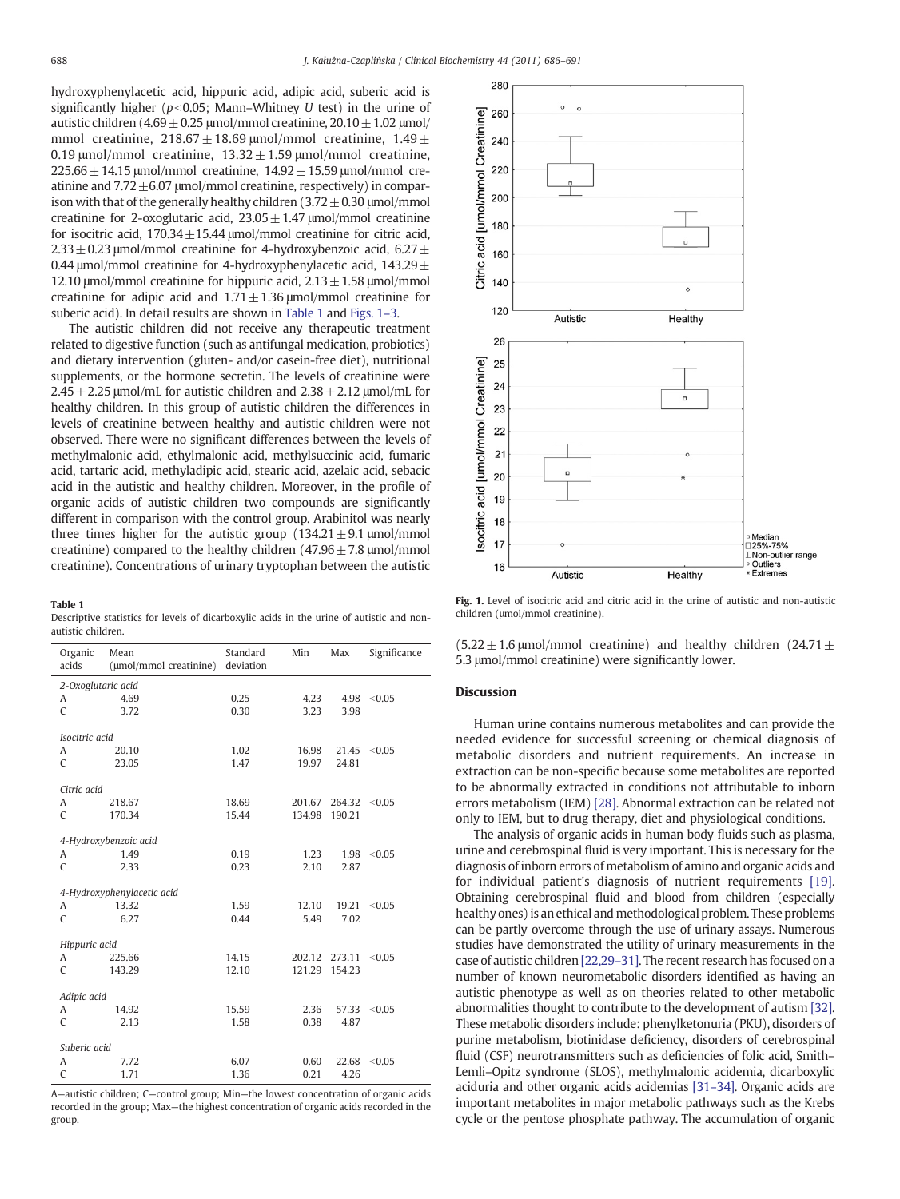hydroxyphenylacetic acid, hippuric acid, adipic acid, suberic acid is significantly higher ( $p<0.05$ ; Mann–Whitney U test) in the urine of autistic children (4.69  $\pm$  0.25 μmol/mmol creatinine, 20.10  $\pm$  1.02 μmol/ mmol creatinine,  $218.67 \pm 18.69$  μmol/mmol creatinine,  $1.49 \pm$ 0.19  $\mu$ mol/mmol creatinine, 13.32  $\pm$  1.59  $\mu$ mol/mmol creatinine,  $225.66 \pm 14.15$  μmol/mmol creatinine,  $14.92 \pm 15.59$  μmol/mmol creatinine and  $7.72 \pm 6.07$   $\mu$ mol/mmol creatinine, respectively) in comparison with that of the generally healthy children  $(3.72 \pm 0.30 \,\mu m$ ol/mmol creatinine for 2-oxoglutaric acid,  $23.05 \pm 1.47$   $\mu$ mol/mmol creatinine for isocitric acid,  $170.34 \pm 15.44$   $\mu$ mol/mmol creatinine for citric acid,  $2.33\pm0.23$  μmol/mmol creatinine for 4-hydroxybenzoic acid, 6.27 $\pm$ 0.44  $\mu$ mol/mmol creatinine for 4-hydroxyphenylacetic acid, 143.29  $\pm$ 12.10 μmol/mmol creatinine for hippuric acid,  $2.13 \pm 1.58$  μmol/mmol creatinine for adipic acid and  $1.71 \pm 1.36$   $\mu$ mol/mmol creatinine for suberic acid). In detail results are shown in Table 1 and Figs. 1–3.

The autistic children did not receive any therapeutic treatment related to digestive function (such as antifungal medication, probiotics) and dietary intervention (gluten- and/or casein-free diet), nutritional supplements, or the hormone secretin. The levels of creatinine were  $2.45 \pm 2.25$  μmol/mL for autistic children and  $2.38 \pm 2.12$  μmol/mL for healthy children. In this group of autistic children the differences in levels of creatinine between healthy and autistic children were not observed. There were no significant differences between the levels of methylmalonic acid, ethylmalonic acid, methylsuccinic acid, fumaric acid, tartaric acid, methyladipic acid, stearic acid, azelaic acid, sebacic acid in the autistic and healthy children. Moreover, in the profile of organic acids of autistic children two compounds are significantly different in comparison with the control group. Arabinitol was nearly three times higher for the autistic group  $(134.21 \pm 9.1 \text{ }\mu\text{mol/mmol})$ creatinine) compared to the healthy children  $(47.96 \pm 7.8 \,\text{\mu mol/mmol})$ creatinine). Concentrations of urinary tryptophan between the autistic

#### Table 1

Descriptive statistics for levels of dicarboxylic acids in the urine of autistic and nonautistic children.

| Organic<br>acids           | Mean<br>(µmol/mmol creatinine) | Standard<br>deviation | Min    | Max    | Significance     |
|----------------------------|--------------------------------|-----------------------|--------|--------|------------------|
| 2-Oxoglutaric acid         |                                |                       |        |        |                  |
| Α                          | 4.69                           | 0.25                  | 4.23   | 4.98   | < 0.05           |
| C                          | 3.72                           | 0.30                  | 3.23   | 3.98   |                  |
| Isocitric acid             |                                |                       |        |        |                  |
| A                          | 20.10                          | 1.02                  | 16.98  |        | $21.45 \le 0.05$ |
| C                          | 23.05                          | 1.47                  | 19.97  | 24.81  |                  |
| Citric acid                |                                |                       |        |        |                  |
| A                          | 218.67                         | 18.69                 | 201.67 | 264.32 | < 0.05           |
| C                          | 170.34                         | 15.44                 | 134.98 | 190.21 |                  |
| 4-Hydroxybenzoic acid      |                                |                       |        |        |                  |
| A                          | 1.49                           | 0.19                  | 1.23   | 1.98   | < 0.05           |
| C                          | 2.33                           | 0.23                  | 2.10   | 2.87   |                  |
| 4-Hydroxyphenylacetic acid |                                |                       |        |        |                  |
| A                          | 13.32                          | 1.59                  | 12.10  | 19.21  | < 0.05           |
| C                          | 6.27                           | 0.44                  | 5.49   | 7.02   |                  |
| Hippuric acid              |                                |                       |        |        |                  |
| A                          | 225.66                         | 14.15                 | 202.12 | 273.11 | < 0.05           |
| C                          | 143.29                         | 12.10                 | 121.29 | 154.23 |                  |
| Adipic acid                |                                |                       |        |        |                  |
| A                          | 14.92                          | 15.59                 | 2.36   | 57.33  | < 0.05           |
| C                          | 2.13                           | 1.58                  | 0.38   | 4.87   |                  |
| Suberic acid               |                                |                       |        |        |                  |
| A                          | 7.72                           | 6.07                  | 0.60   | 22.68  | < 0.05           |
| C                          | 1.71                           | 1.36                  | 0.21   | 4.26   |                  |

A—autistic children; C—control group; Min—the lowest concentration of organic acids recorded in the group; Max—the highest concentration of organic acids recorded in the group.



Fig. 1. Level of isocitric acid and citric acid in the urine of autistic and non-autistic children (μmol/mmol creatinine).

 $(5.22 \pm 1.6 \,\text{µmol/mmol}$  creatinine) and healthy children  $(24.71 \pm 1.6 \,\text{µmol/mmol}$ 5.3 μmol/mmol creatinine) were significantly lower.

#### Discussion

Human urine contains numerous metabolites and can provide the needed evidence for successful screening or chemical diagnosis of metabolic disorders and nutrient requirements. An increase in extraction can be non-specific because some metabolites are reported to be abnormally extracted in conditions not attributable to inborn errors metabolism (IEM) [\[28\].](#page-4-0) Abnormal extraction can be related not only to IEM, but to drug therapy, diet and physiological conditions.

The analysis of organic acids in human body fluids such as plasma, urine and cerebrospinal fluid is very important. This is necessary for the diagnosis of inborn errors of metabolism of amino and organic acids and for individual patient's diagnosis of nutrient requirements [\[19\].](#page-4-0) Obtaining cerebrospinal fluid and blood from children (especially healthy ones) is an ethical and methodological problem. These problems can be partly overcome through the use of urinary assays. Numerous studies have demonstrated the utility of urinary measurements in the case of autistic children [\[22,29](#page-4-0)–31]. The recent research has focused on a number of known neurometabolic disorders identified as having an autistic phenotype as well as on theories related to other metabolic abnormalities thought to contribute to the development of autism [\[32\].](#page-4-0) These metabolic disorders include: phenylketonuria (PKU), disorders of purine metabolism, biotinidase deficiency, disorders of cerebrospinal fluid (CSF) neurotransmitters such as deficiencies of folic acid, Smith– Lemli–Opitz syndrome (SLOS), methylmalonic acidemia, dicarboxylic aciduria and other organic acids acidemias [\[31](#page-4-0)–34]. Organic acids are important metabolites in major metabolic pathways such as the Krebs cycle or the pentose phosphate pathway. The accumulation of organic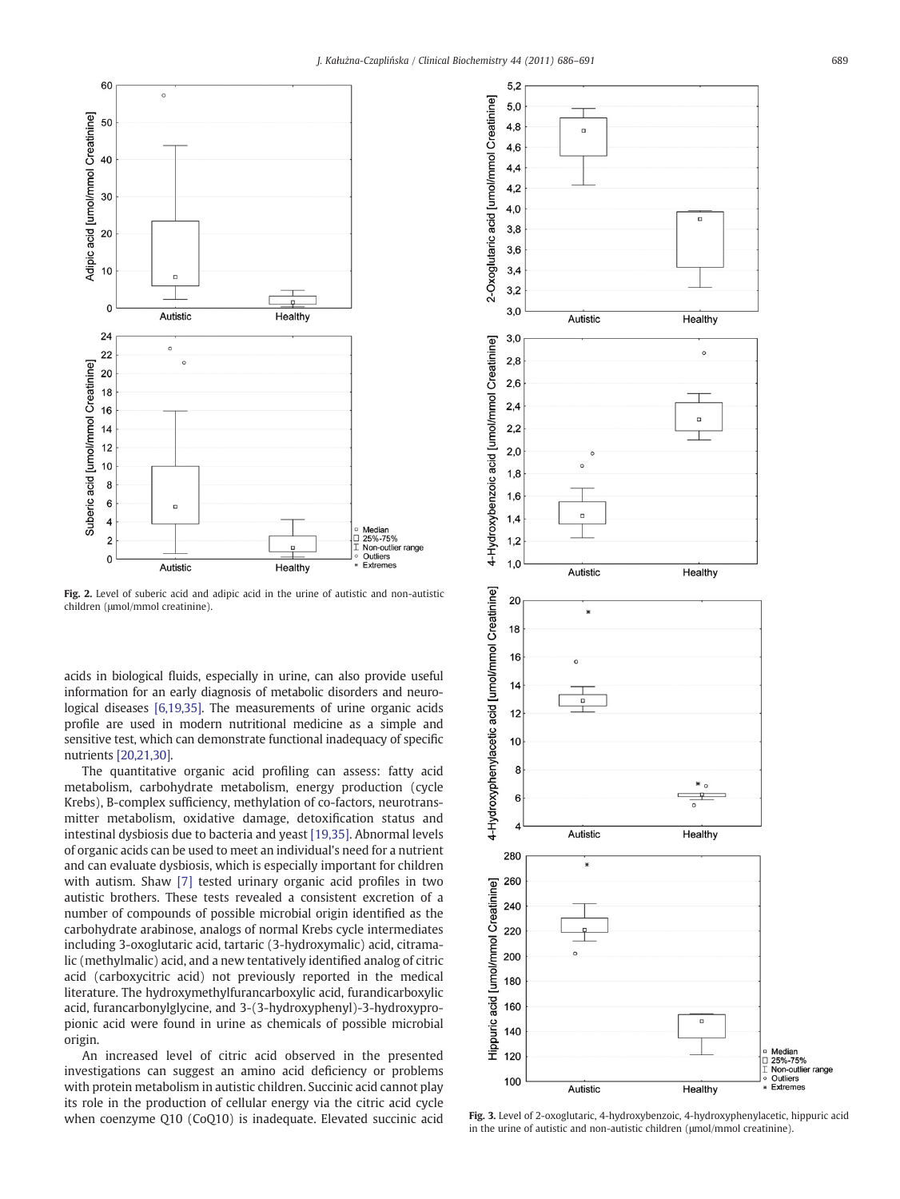

Fig. 2. Level of suberic acid and adipic acid in the urine of autistic and non-autistic children (μmol/mmol creatinine).

acids in biological fluids, especially in urine, can also provide useful information for an early diagnosis of metabolic disorders and neurological diseases [\[6,19,35\]](#page-4-0). The measurements of urine organic acids profile are used in modern nutritional medicine as a simple and sensitive test, which can demonstrate functional inadequacy of specific nutrients [\[20,21,30\].](#page-4-0)

The quantitative organic acid profiling can assess: fatty acid metabolism, carbohydrate metabolism, energy production (cycle Krebs), B-complex sufficiency, methylation of co-factors, neurotransmitter metabolism, oxidative damage, detoxification status and intestinal dysbiosis due to bacteria and yeast [\[19,35\]](#page-4-0). Abnormal levels of organic acids can be used to meet an individual's need for a nutrient and can evaluate dysbiosis, which is especially important for children with autism. Shaw [\[7\]](#page-4-0) tested urinary organic acid profiles in two autistic brothers. These tests revealed a consistent excretion of a number of compounds of possible microbial origin identified as the carbohydrate arabinose, analogs of normal Krebs cycle intermediates including 3-oxoglutaric acid, tartaric (3-hydroxymalic) acid, citramalic (methylmalic) acid, and a new tentatively identified analog of citric acid (carboxycitric acid) not previously reported in the medical literature. The hydroxymethylfurancarboxylic acid, furandicarboxylic acid, furancarbonylglycine, and 3-(3-hydroxyphenyl)-3-hydroxypropionic acid were found in urine as chemicals of possible microbial origin.

An increased level of citric acid observed in the presented investigations can suggest an amino acid deficiency or problems with protein metabolism in autistic children. Succinic acid cannot play its role in the production of cellular energy via the citric acid cycle when coenzyme Q10 (CoQ10) is inadequate. Elevated succinic acid



Fig. 3. Level of 2-oxoglutaric, 4-hydroxybenzoic, 4-hydroxyphenylacetic, hippuric acid in the urine of autistic and non-autistic children (μmol/mmol creatinine).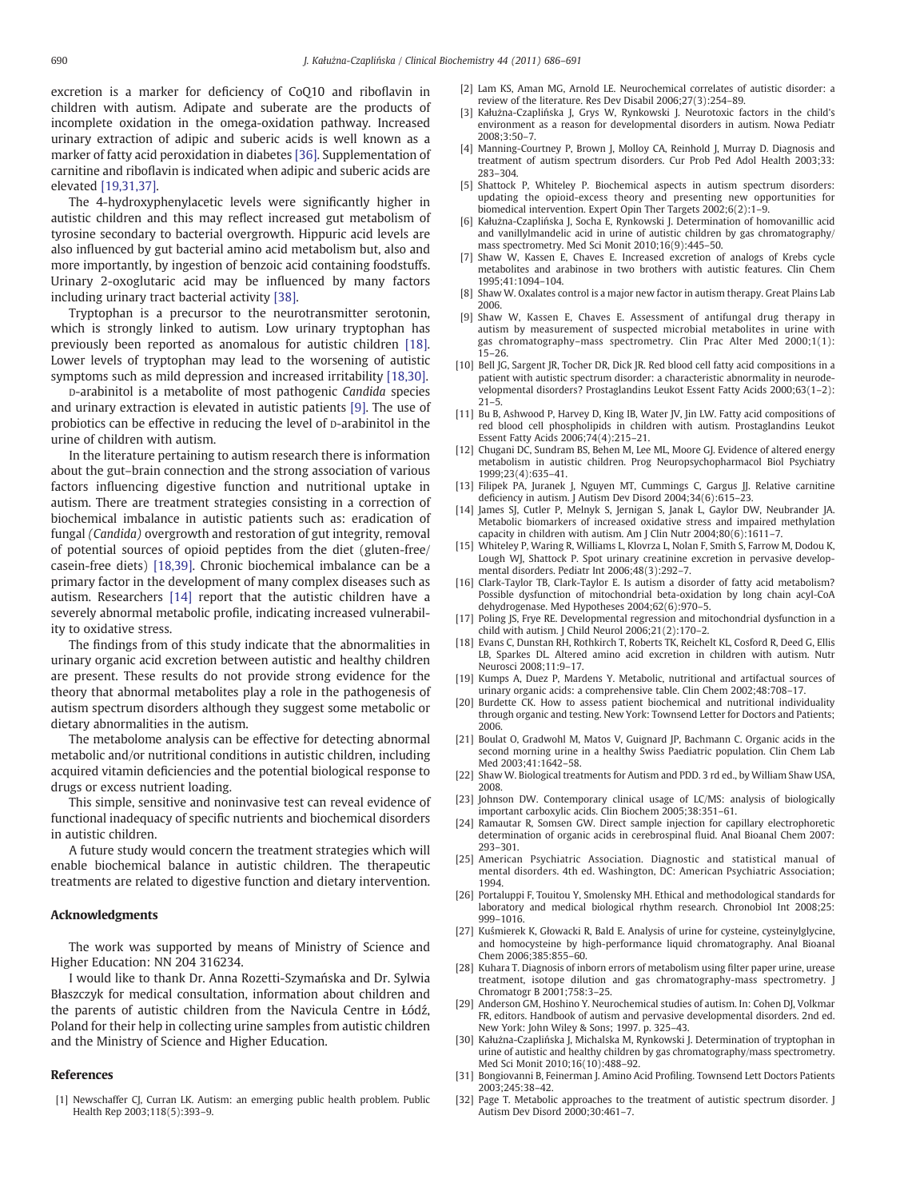<span id="page-4-0"></span>excretion is a marker for deficiency of CoQ10 and riboflavin in children with autism. Adipate and suberate are the products of incomplete oxidation in the omega-oxidation pathway. Increased urinary extraction of adipic and suberic acids is well known as a marker of fatty acid peroxidation in diabetes [\[36\].](#page-5-0) Supplementation of carnitine and riboflavin is indicated when adipic and suberic acids are elevated [19,31,37].

The 4-hydroxyphenylacetic levels were significantly higher in autistic children and this may reflect increased gut metabolism of tyrosine secondary to bacterial overgrowth. Hippuric acid levels are also influenced by gut bacterial amino acid metabolism but, also and more importantly, by ingestion of benzoic acid containing foodstuffs. Urinary 2-oxoglutaric acid may be influenced by many factors including urinary tract bacterial activity [\[38\]](#page-5-0).

Tryptophan is a precursor to the neurotransmitter serotonin, which is strongly linked to autism. Low urinary tryptophan has previously been reported as anomalous for autistic children [18]. Lower levels of tryptophan may lead to the worsening of autistic symptoms such as mild depression and increased irritability [18,30].

D-arabinitol is a metabolite of most pathogenic Candida species and urinary extraction is elevated in autistic patients [9]. The use of probiotics can be effective in reducing the level of D-arabinitol in the urine of children with autism.

In the literature pertaining to autism research there is information about the gut–brain connection and the strong association of various factors influencing digestive function and nutritional uptake in autism. There are treatment strategies consisting in a correction of biochemical imbalance in autistic patients such as: eradication of fungal (Candida) overgrowth and restoration of gut integrity, removal of potential sources of opioid peptides from the diet (gluten-free/ casein-free diets) [18,39]. Chronic biochemical imbalance can be a primary factor in the development of many complex diseases such as autism. Researchers [14] report that the autistic children have a severely abnormal metabolic profile, indicating increased vulnerability to oxidative stress.

The findings from of this study indicate that the abnormalities in urinary organic acid excretion between autistic and healthy children are present. These results do not provide strong evidence for the theory that abnormal metabolites play a role in the pathogenesis of autism spectrum disorders although they suggest some metabolic or dietary abnormalities in the autism.

The metabolome analysis can be effective for detecting abnormal metabolic and/or nutritional conditions in autistic children, including acquired vitamin deficiencies and the potential biological response to drugs or excess nutrient loading.

This simple, sensitive and noninvasive test can reveal evidence of functional inadequacy of specific nutrients and biochemical disorders in autistic children.

A future study would concern the treatment strategies which will enable biochemical balance in autistic children. The therapeutic treatments are related to digestive function and dietary intervention.

#### Acknowledgments

The work was supported by means of Ministry of Science and Higher Education: NN 204 316234.

I would like to thank Dr. Anna Rozetti-Szymańska and Dr. Sylwia Błaszczyk for medical consultation, information about children and the parents of autistic children from the Navicula Centre in Łódź, Poland for their help in collecting urine samples from autistic children and the Ministry of Science and Higher Education.

#### References

[1] Newschaffer CJ, Curran LK. Autism: an emerging public health problem. Public Health Rep 2003;118(5):393–9.

- [2] Lam KS, Aman MG, Arnold LE. Neurochemical correlates of autistic disorder: a review of the literature. Res Dev Disabil 2006;27(3):254–89.
- [3] Kałużna-Czaplińska J, Grys W, Rynkowski J. Neurotoxic factors in the child's environment as a reason for developmental disorders in autism. Nowa Pediatr 2008;3:50–7.
- [4] Manning-Courtney P, Brown J, Molloy CA, Reinhold J, Murray D. Diagnosis and treatment of autism spectrum disorders. Cur Prob Ped Adol Health 2003;33: 283–304.
- [5] Shattock P, Whiteley P. Biochemical aspects in autism spectrum disorders: updating the opioid-excess theory and presenting new opportunities for biomedical intervention. Expert Opin Ther Targets 2002;6(2):1–9.
- [6] Kałużna-Czaplińska J, Socha E, Rynkowski J. Determination of homovanillic acid and vanillylmandelic acid in urine of autistic children by gas chromatography/ mass spectrometry. Med Sci Monit 2010;16(9):445–50.
- [7] Shaw W, Kassen E, Chaves E. Increased excretion of analogs of Krebs cycle metabolites and arabinose in two brothers with autistic features. Clin Chem 1995;41:1094–104.
- [8] Shaw W. Oxalates control is a major new factor in autism therapy. Great Plains Lab 2006.
- [9] Shaw W, Kassen E, Chaves E. Assessment of antifungal drug therapy in autism by measurement of suspected microbial metabolites in urine with gas chromatography–mass spectrometry. Clin Prac Alter Med 2000;1(1): 15–26.
- [10] Bell JG, Sargent JR, Tocher DR, Dick JR. Red blood cell fatty acid compositions in a patient with autistic spectrum disorder: a characteristic abnormality in neurodevelopmental disorders? Prostaglandins Leukot Essent Fatty Acids 2000;63(1–2):  $21 - 5$
- [11] Bu B, Ashwood P, Harvey D, King IB, Water JV, Jin LW. Fatty acid compositions of red blood cell phospholipids in children with autism. Prostaglandins Leukot Essent Fatty Acids 2006;74(4):215–21.
- [12] Chugani DC, Sundram BS, Behen M, Lee ML, Moore GJ. Evidence of altered energy metabolism in autistic children. Prog Neuropsychopharmacol Biol Psychiatry 1999;23(4):635–41.
- [13] Filipek PA, Juranek J, Nguyen MT, Cummings C, Gargus JJ. Relative carnitine deficiency in autism. J Autism Dev Disord 2004;34(6):615–23.
- James SJ, Cutler P, Melnyk S, Jernigan S, Janak L, Gaylor DW, Neubrander JA. Metabolic biomarkers of increased oxidative stress and impaired methylation capacity in children with autism. Am J Clin Nutr 2004;80(6):1611–7.
- [15] Whiteley P, Waring R, Williams L, Klovrza L, Nolan F, Smith S, Farrow M, Dodou K, Lough WJ, Shattock P. Spot urinary creatinine excretion in pervasive developmental disorders. Pediatr Int 2006;48(3):292–7.
- [16] Clark-Taylor TB, Clark-Taylor E. Is autism a disorder of fatty acid metabolism? Possible dysfunction of mitochondrial beta-oxidation by long chain acyl-CoA dehydrogenase. Med Hypotheses 2004;62(6):970–5.
- Poling JS, Frye RE. Developmental regression and mitochondrial dysfunction in a child with autism. J Child Neurol 2006;21(2):170–2.
- [18] Evans C, Dunstan RH, Rothkirch T, Roberts TK, Reichelt KL, Cosford R, Deed G, Ellis LB, Sparkes DL. Altered amino acid excretion in children with autism. Nutr Neurosci 2008;11:9–17.
- [19] Kumps A, Duez P, Mardens Y. Metabolic, nutritional and artifactual sources of urinary organic acids: a comprehensive table. Clin Chem 2002;48:708–17.
- [20] Burdette CK. How to assess patient biochemical and nutritional individuality through organic and testing. New York: Townsend Letter for Doctors and Patients; 2006.
- [21] Boulat O, Gradwohl M, Matos V, Guignard JP, Bachmann C. Organic acids in the second morning urine in a healthy Swiss Paediatric population. Clin Chem Lab Med 2003;41:1642–58.
- [22] Shaw W. Biological treatments for Autism and PDD. 3 rd ed., by William Shaw USA, 2008.
- [23] Johnson DW. Contemporary clinical usage of LC/MS: analysis of biologically important carboxylic acids. Clin Biochem 2005;38:351–61.
- [24] Ramautar R, Somsen GW. Direct sample injection for capillary electrophoretic determination of organic acids in cerebrospinal fluid. Anal Bioanal Chem 2007: 293–301.
- [25] American Psychiatric Association. Diagnostic and statistical manual of mental disorders. 4th ed. Washington, DC: American Psychiatric Association; 1994.
- [26] Portaluppi F, Touitou Y, Smolensky MH. Ethical and methodological standards for laboratory and medical biological rhythm research. Chronobiol Int 2008;25: 999–1016.
- [27] Kuśmierek K, Głowacki R, Bald E. Analysis of urine for cysteine, cysteinylglycine, and homocysteine by high-performance liquid chromatography. Anal Bioanal Chem 2006;385:855–60.
- [28] Kuhara T. Diagnosis of inborn errors of metabolism using filter paper urine, urease treatment, isotope dilution and gas chromatography-mass spectrometry. J Chromatogr B 2001;758:3–25.
- [29] Anderson GM, Hoshino Y. Neurochemical studies of autism. In: Cohen DJ, Volkmar FR, editors. Handbook of autism and pervasive developmental disorders. 2nd ed. New York: John Wiley & Sons; 1997. p. 325–43.
- [30] Kałużna-Czaplińska J, Michalska M, Rynkowski J. Determination of tryptophan in urine of autistic and healthy children by gas chromatography/mass spectrometry. Med Sci Monit 2010;16(10):488–92.
- [31] Bongiovanni B, Feinerman J. Amino Acid Profiling. Townsend Lett Doctors Patients 2003;245:38–42.
- [32] Page T. Metabolic approaches to the treatment of autistic spectrum disorder. J Autism Dev Disord 2000;30:461–7.